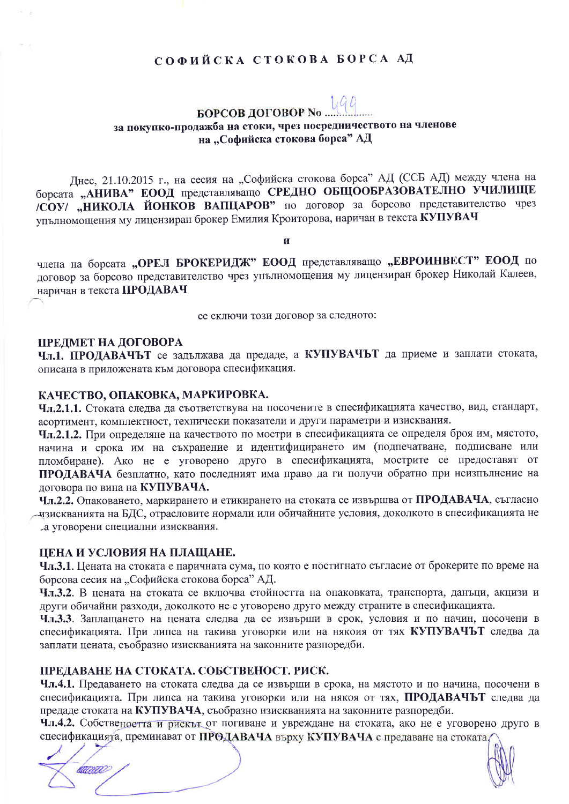# СОФИЙСКА СТОКОВА БОРСА АД

#### 1,9 G **БОРСОВ ДОГОВОР No**

за покупко-продажба на стоки, чрез посредничеството на членове на "Софийска стокова борса" АД

Днес, 21.10.2015 г., на сесия на "Софийска стокова борса" АД (ССБ АД) между члена на борсата "АНИВА" ЕООД представляващо СРЕДНО ОБЩООБРАЗОВАТЕЛНО УЧИЛИЩЕ /СОУ/ "НИКОЛА ЙОНКОВ ВАПЦАРОВ" по договор за борсово представителство чрез упълномощения му лицензиран брокер Емилия Кроиторова, наричан в текста КУПУВАЧ

И

члена на борсата "ОРЕЛ БРОКЕРИДЖ" ЕООД представляващо "ЕВРОИНВЕСТ" ЕООД по договор за борсово представителство чрез упълномощения му лицензиран брокер Николай Калеев, наричан в текста ПРОДАВАЧ

се сключи този договор за следното:

#### ПРЕЛМЕТ НА ДОГОВОРА

Чл.1. ПРОДАВАЧЪТ се задължава да предаде, а КУПУВАЧЪТ да приеме и заплати стоката, описана в приложената към договора спесификация.

#### КАЧЕСТВО, ОПАКОВКА, МАРКИРОВКА.

Чл.2.1.1. Стоката следва да съответствува на посочените в спесификацията качество, вид, стандарт, асортимент, комплектност, технически показатели и други параметри и изисквания.

Чл.2.1.2. При определяне на качеството по мостри в спесификацията се определя броя им, мястото, начина и срока им на съхранение и идентифицирането им (подпечатване, подписване или пломбиране). Ако не е уговорено друго в спесификацията, мострите се предоставят от ПРОДАВАЧА безплатно, като последният има право да ги получи обратно при неизпълнение на логовора по вина на КУПУВАЧА.

Чл.2.2. Опаковането, маркирането и етикирането на стоката се извършва от ПРОДАВАЧА, съгласно чзискванията на БДС, отрасловите нормали или обичайните условия, доколкото в спесификацията не ла уговорени специални изисквания.

#### ЦЕНА И УСЛОВИЯ НА ПЛАЩАНЕ.

Чл.3.1. Цената на стоката е паричната сума, по която е постигнато съгласие от брокерите по време на борсова сесия на "Софийска стокова борса" АД.

Чл.3.2. В цената на стоката се включва стойността на опаковката, транспорта, данъци, акцизи и други обичайни разходи, доколкото не е уговорено друго между страните в спесификацията.

Чл.3.3. Заплащането на цената следва да се извърши в срок, условия и по начин, посочени в спесификацията. При липса на такива уговорки или на някоия от тях КУПУВАЧЪТ следва да заплати цената, съобразно изискванията на законните разпоредби.

#### ПРЕДАВАНЕ НА СТОКАТА. СОБСТВЕНОСТ. РИСК.

Чл.4.1. Предаването на стоката следва да се извърши в срока, на мястото и по начина, посочени в спесификацията. При липса на такива уговорки или на някоя от тях, ПРОДАВАЧЪТ следва да предаде стоката на КУПУВАЧА, съобразно изискванията на законните разпоредби.

Чл.4.2. Собственоетта и рискът от погиване и увреждане на стоката, ако не е уговорено друго в спесификацията, преминават от ПРОДАВАЧА върху КУПУВАЧА с предаване на стоката

rana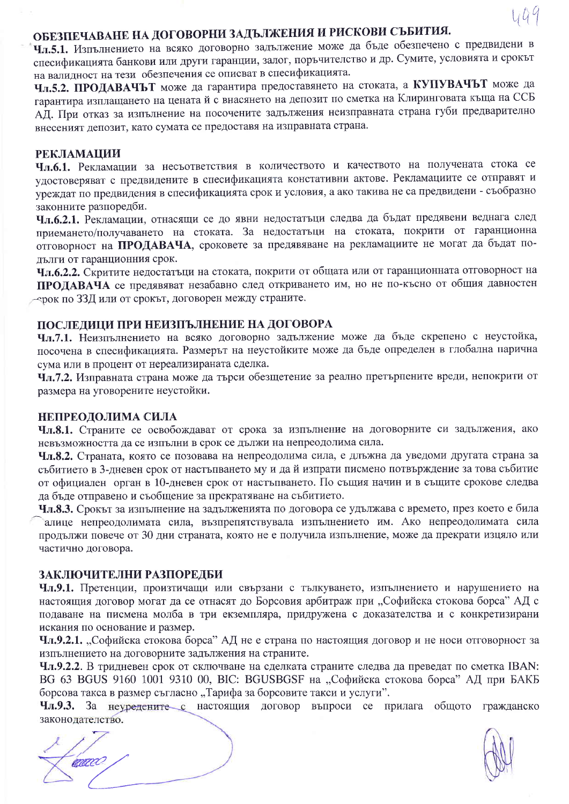# ОБЕЗПЕЧАВАНЕ НА ДОГОВОРНИ ЗАДЪЛЖЕНИЯ И РИСКОВИ СЪБИТИЯ.

Чл.5.1. Изпълнението на всяко договорно задължение може да бъде обезпечено с предвидени в спесификацията банкови или други гаранции, залог, поръчителство и др. Сумите, условията и срокът на валидност на тези обезпечения се описват в спесификацията.

Чл.5.2. ПРОДАВАЧЬТ може да гарантира предоставянето на стоката, а КУПУВАЧЬТ може да гарантира изплащането на цената й с внасянето на депозит по сметка на Клиринговата къща на ССБ АД. При отказ за изпълнение на посочените задължения неизправната страна губи предварително внесеният депозит, като сумата се предоставя на изправната страна.

## **РЕКЛАМАЦИИ**

Чл.6.1. Рекламации за несъответствия в количеството и качеството на получената стока се удостоверяват с предвидените в спесификацията констативни актове. Рекламациите се отправят и уреждат по предвидения в спесификацията срок и условия, а ако такива не са предвидени - съобразно законните разпоредби.

Чл.6.2.1. Рекламации, отнасящи се до явни недостатъци следва да бъдат предявени веднага след приемането/получаването на стоката. За недостатъци на стоката, покрити от гаранционна отговорност на ПРОДАВАЧА, сроковете за предявяване на рекламациите не могат да бъдат подълги от гаранционния срок.

Чл.6.2.2. Скритите недостатъци на стоката, покрити от общата или от гаранционната отговорност на ПРОДАВАЧА се предявяват незабавно след откриването им, но не по-късно от общия давностен ∼ерок по 33Д или от срокът, договорен между страните.

## ПОСЛЕЛИЦИ ПРИ НЕИЗПЪЛНЕНИЕ НА ДОГОВОРА

Чл.7.1. Неизпълнението на всяко договорно задължение може да бъде скрепено с неустойка, посочена в спесификацията. Размерът на неустойките може да бъде определен в глобална парична сума или в процент от нереализираната сделка.

Чл.7.2. Изправната страна може да търси обезщетение за реално претърпените вреди, непокрити от размера на уговорените неустойки.

#### НЕПРЕОДОЛИМА СИЛА

Чл.8.1. Страните се освобождават от срока за изпълнение на договорните си задължения, ако невъзможността да се изпълни в срок се дължи на непреодолима сила.

Чл.8.2. Страната, която се позовава на непреодолима сила, е длъжна да уведоми другата страна за събитието в 3-дневен срок от настъпването му и да й изпрати писмено потвърждение за това събитие от официален орган в 10-дневен срок от настъпването. По същия начин и в същите срокове следва да бъде отправено и съобщение за прекратяване на събитието.

Чл.8.3. Срокът за изпълнение на задълженията по договора се удължава с времето, през което е била алице непреодолимата сила, възпрепятствувала изпълнението им. Ако непреодолимата сила продължи повече от 30 дни страната, която не е получила изпълнение, може да прекрати изцяло или частично договора.

## ЗАКЛЮЧИТЕЛНИ РАЗПОРЕДБИ

Чл.9.1. Претенции, произтичащи или свързани с тълкуването, изпълнението и нарушението на настоящия договор могат да се отнасят до Борсовия арбитраж при "Софийска стокова борса" АД с подаване на писмена молба в три екземпляра, придружена с доказателства и с конкретизирани искания по основание и размер.

Чл.9.2.1. "Софийска стокова борса" АД не е страна по настоящия договор и не носи отговорност за изпълнението на договорните задължения на страните.

Чл.9.2.2. В тридневен срок от сключване на сделката страните следва да преведат по сметка IBAN: ВG 63 BGUS 9160 1001 9310 00, ВІС: BGUSBGSF на "Софийска стокова борса" АД при БАКБ борсова такса в размер съгласно "Тарифа за борсовите такси и услуги".

Чл.9.3. За неуредените с настоящия договор въпроси се прилага общото гражданско законолателство.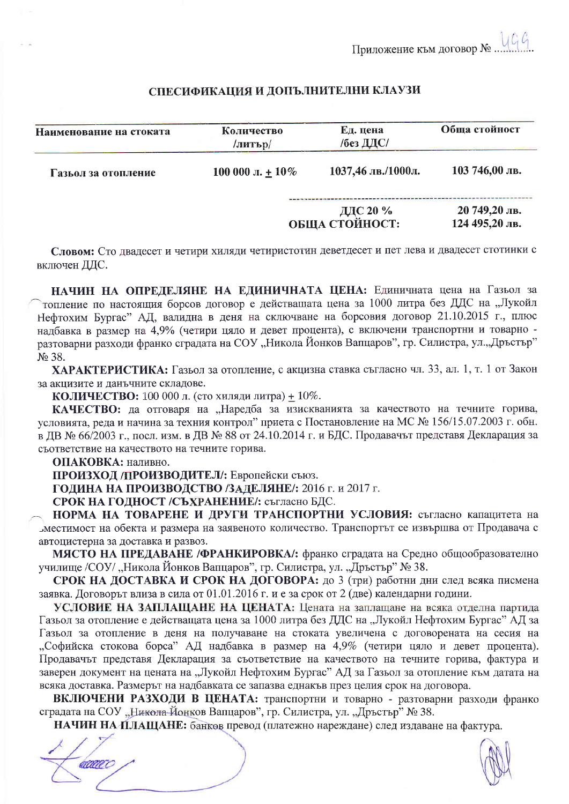## СПЕСИФИКАЦИЯ И ДОПЪЛНИТЕЛНИ КЛАУЗИ

| Наименование на стоката | Количество<br>/литър/ | Ед. цена<br>/без ДДС/      | Обща стойност                   |
|-------------------------|-----------------------|----------------------------|---------------------------------|
| Газьол за отопление     | 100 000 л. $\pm$ 10%  | 1037,46 лв./1000л.         | 103 746,00 лв.                  |
|                         |                       | ДДС 20 %<br>ОБЩА СТОЙНОСТ: | 20 749,20 лв.<br>124 495,20 лв. |

Словом: Сто двадесет и четири хиляди четиристотин деветдесет и пет лева и двадесет стотинки с включен ДДС.

НАЧИН НА ОПРЕДЕЛЯНЕ НА ЕДИНИЧНАТА ЦЕНА: Единичната цена на Газьол за топление по настоящия борсов договор е действашата цена за 1000 литра без ДДС на "Лукойл Нефтохим Бургас" АД, валидна в деня на сключване на борсовия договор 21.10.2015 г., плюс надбавка в размер на 4,9% (четири цяло и девет процента), с включени транспортни и товарно разтоварни разходи франко сградата на СОУ "Никола Йонков Вапцаров", гр. Силистра, ул. "Дръстър" No 38.

ХАРАКТЕРИСТИКА: Газьол за отопление, с акцизна ставка съгласно чл. 33, ал. 1, т. 1 от Закон за акцизите и ланъчните складове.

КОЛИЧЕСТВО: 100 000 л. (сто хиляди литра) + 10%.

КАЧЕСТВО: да отговаря на "Наредба за изискванията за качеството на течните горива, условията, реда и начина за техния контрол" приета с Постановление на МС № 156/15.07.2003 г. обн. в ДВ № 66/2003 г., посл. изм. в ДВ № 88 от 24.10.2014 г. и БДС. Продавачът представя Декларация за съответствие на качеството на течните горива.

ОПАКОВКА: наливно.

ПРОИЗХОД /ПРОИЗВОДИТЕЛ/: Европейски съюз.

ГОДИНА НА ПРОИЗВОДСТВО /ЗАДЕЛЯНЕ/: 2016 г. и 2017 г.

СРОК НА ГОДНОСТ /СЪХРАНЕНИЕ/: съгласно БДС.

НОРМА НА ТОВАРЕНЕ И ДРУГИ ТРАНСПОРТНИ УСЛОВИЯ: съгласно капацитета на "местимост на обекта и размера на заявеното количество. Транспортът се извършва от Продавача с автоцистерна за доставка и развоз.

МЯСТО НА ПРЕДАВАНЕ /ФРАНКИРОВКА/: франко сградата на Средно общообразователно училище /СОУ/ "Никола Йонков Вапцаров", гр. Силистра, ул. "Дръстър" № 38.

СРОК НА ДОСТАВКА И СРОК НА ДОГОВОРА: до 3 (три) работни дни след всяка писмена заявка. Договорът влиза в сила от 01.01.2016 г. и е за срок от 2 (две) календарни години.

УСЛОВИЕ НА ЗАПЛАЩАНЕ НА ЦЕНАТА: Цената на заплащане на всяка отделна партида Газьол за отопление е действащата цена за 1000 литра без ДДС на "Лукойл Нефтохим Бургас" АД за Газьол за отопление в деня на получаване на стоката увеличена с договорената на сесия на "Софийска стокова борса" АД надбавка в размер на 4,9% (четири цяло и девет процента). Продавачът представя Декларация за съответствие на качеството на течните горива, фактура и заверен документ на цената на "Лукойл Нефтохим Бургас" АД за Газьол за отопление към датата на всяка доставка. Размерът на надбавката се запазва еднакъв през целия срок на договора.

ВКЛЮЧЕНИ РАЗХОДИ В ЦЕНАТА: транспортни и товарно - разтоварни разходи франко сградата на СОУ "Никола-Йонков Вапцаров", гр. Силистра, ул. "Дръстър" № 38.

НАЧИН НА ПЛАЩАНЕ: банков превод (платежно нареждане) след издаване на фактура.

aaaa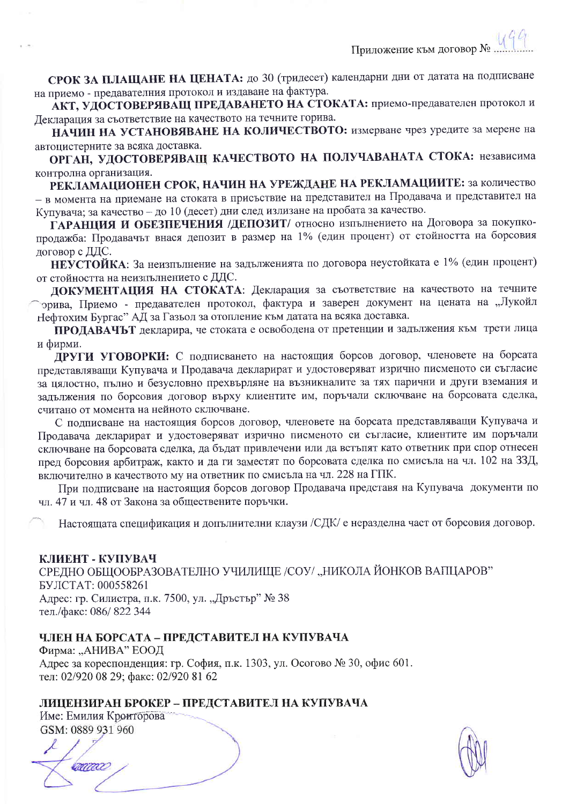СРОК ЗА ПЛАЩАНЕ НА ЦЕНАТА: до 30 (тридесет) календарни дни от датата на подписване на приемо - предавателния протокол и издаване на фактура.

АКТ, УДОСТОВЕРЯВАЩ ПРЕДАВАНЕТО НА СТОКАТА: приемо-предавателен протокол и Декларация за съответствие на качеството на течните горива.

НАЧИН НА УСТАНОВЯВАНЕ НА КОЛИЧЕСТВОТО: измерване чрез уредите за мерене на автопистерните за всяка доставка.

ОРГАН, УДОСТОВЕРЯВАЩ КАЧЕСТВОТО НА ПОЛУЧАВАНАТА СТОКА: независима контролна организация.

РЕКЛАМАЦИОНЕН СРОК, НАЧИН НА УРЕЖДАНЕ НА РЕКЛАМАЦИИТЕ: за количество - в момента на приемане на стоката в присъствие на представител на Продавача и представител на Купувача; за качество - до 10 (десет) дни след излизане на пробата за качество.

ГАРАНЦИЯ И ОБЕЗПЕЧЕНИЯ /ДЕПОЗИТ/ относно изпълнението на Договора за покупкопродажба: Продавачът внася депозит в размер на 1% (един процент) от стойността на борсовия логовор с ДДС.

НЕУСТОЙКА: За неизпълнение на задълженията по договора неустойката е 1% (един процент) от стойността на неизпълнението с ДДС.

ДОКУМЕНТАЦИЯ НА СТОКАТА: Декларация за съответствие на качеството на течните орива, Приемо - предавателен протокол, фактура и заверен документ на цената на "Лукойл Нефтохим Бургас" АД за Газьол за отопление към датата на всяка доставка.

ПРОДАВАЧЪТ декларира, че стоката е освободена от претенции и задължения към трети лица и фирми.

ДРУГИ УГОВОРКИ: С подписването на настоящия борсов договор, членовете на борсата представляващи Купувача и Продавача декларират и удостоверяват изрично писменото си съгласие за цялостно, пълно и безусловно прехвърляне на възникналите за тях парични и други вземания и задължения по борсовия договор върху клиентите им, поръчали сключване на борсовата сделка, считано от момента на нейното сключване.

С подписване на настоящия борсов договор, членовете на борсата представляващи Купувача и Продавача декларират и удостоверяват изрично писменото си съгласие, клиентите им поръчали сключване на борсовата сделка, да бъдат привлечени или да встъпят като ответник при спор отнесен пред борсовия арбитраж, както и да ги заместят по борсовата сделка по смисъла на чл. 102 на 33Д, включително в качеството му на ответник по смисъла на чл. 228 на ГПК.

При подписване на настоящия борсов договор Продавача представя на Купувача документи по чл. 47 и чл. 48 от Закона за обществените поръчки.

Настоящата спецификация и допълнителни клаузи /СДК/ е неразделна част от борсовия договор.

## КЛИЕНТ - КУПУВАЧ

СРЕДНО ОБЩООБРАЗОВАТЕЛНО УЧИЛИЩЕ /СОУ/ "НИКОЛА ЙОНКОВ ВАПЦАРОВ" БУЛСТАТ: 000558261 Адрес: гр. Силистра, п.к. 7500, ул. "Дръстър" № 38 тел./факс: 086/ 822 344

# ЧЛЕН НА БОРСАТА - ПРЕДСТАВИТЕЛ НА КУПУВАЧА

Фирма: "АНИВА" ЕООД Адрес за кореспонденция: гр. София, п.к. 1303, ул. Осогово № 30, офис 601. тел: 02/920 08 29; факс: 02/920 81 62

# ЛИЦЕНЗИРАН БРОКЕР - ПРЕДСТАВИТЕЛ НА КУПУВАЧА

Име: Емилия Кроиторова GSM: 0889 931 960

mm